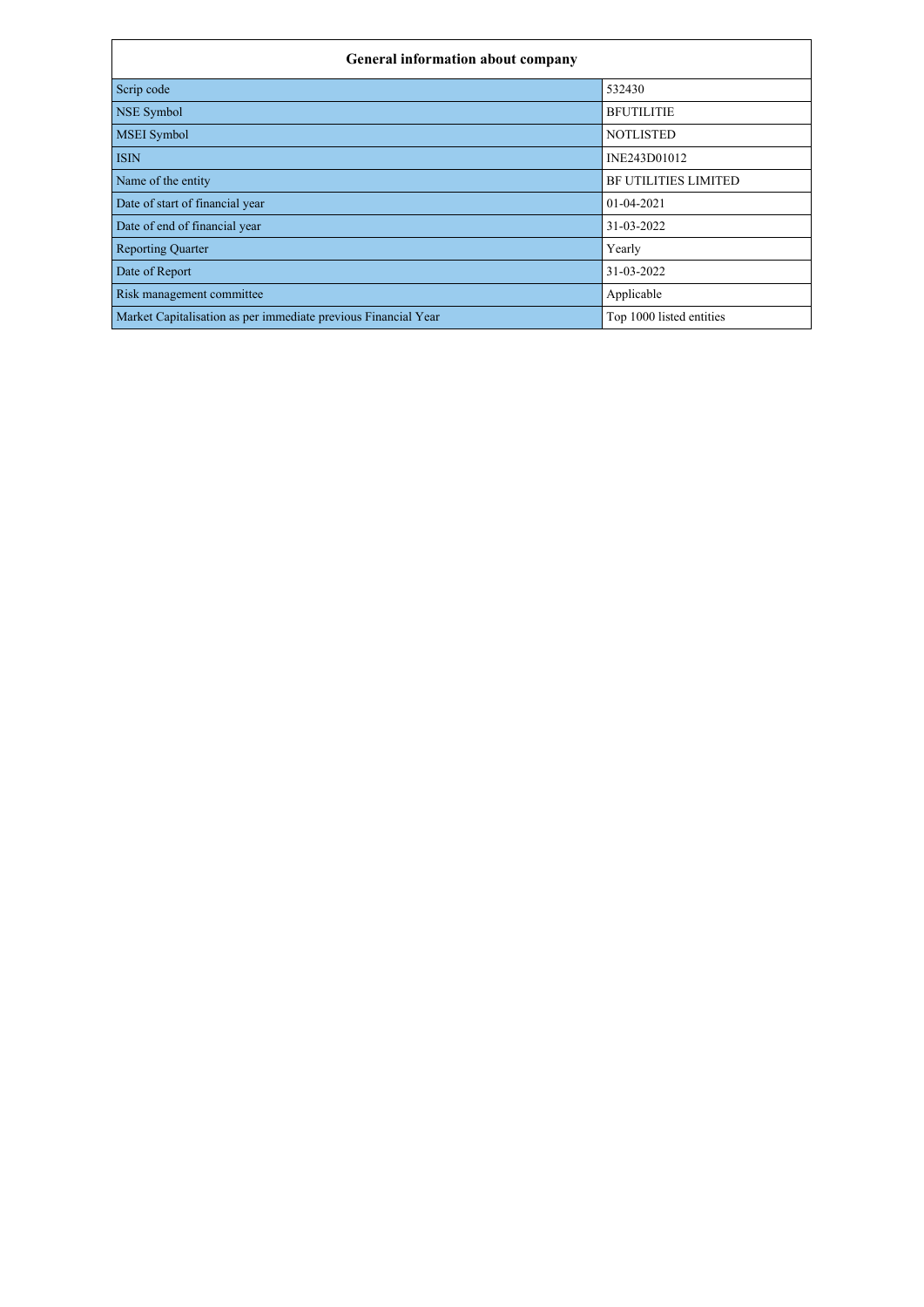| <b>General information about company</b>                       |                          |  |  |  |  |  |  |  |  |
|----------------------------------------------------------------|--------------------------|--|--|--|--|--|--|--|--|
| Scrip code                                                     | 532430                   |  |  |  |  |  |  |  |  |
| NSE Symbol                                                     | <b>BFUTILITIE</b>        |  |  |  |  |  |  |  |  |
| <b>MSEI</b> Symbol                                             | <b>NOTLISTED</b>         |  |  |  |  |  |  |  |  |
| <b>ISIN</b>                                                    | INE243D01012             |  |  |  |  |  |  |  |  |
| Name of the entity                                             | BF UTILITIES LIMITED     |  |  |  |  |  |  |  |  |
| Date of start of financial year                                | $01 - 04 - 2021$         |  |  |  |  |  |  |  |  |
| Date of end of financial year                                  | 31-03-2022               |  |  |  |  |  |  |  |  |
| <b>Reporting Quarter</b>                                       | Yearly                   |  |  |  |  |  |  |  |  |
| Date of Report                                                 | 31-03-2022               |  |  |  |  |  |  |  |  |
| Risk management committee                                      | Applicable               |  |  |  |  |  |  |  |  |
| Market Capitalisation as per immediate previous Financial Year | Top 1000 listed entities |  |  |  |  |  |  |  |  |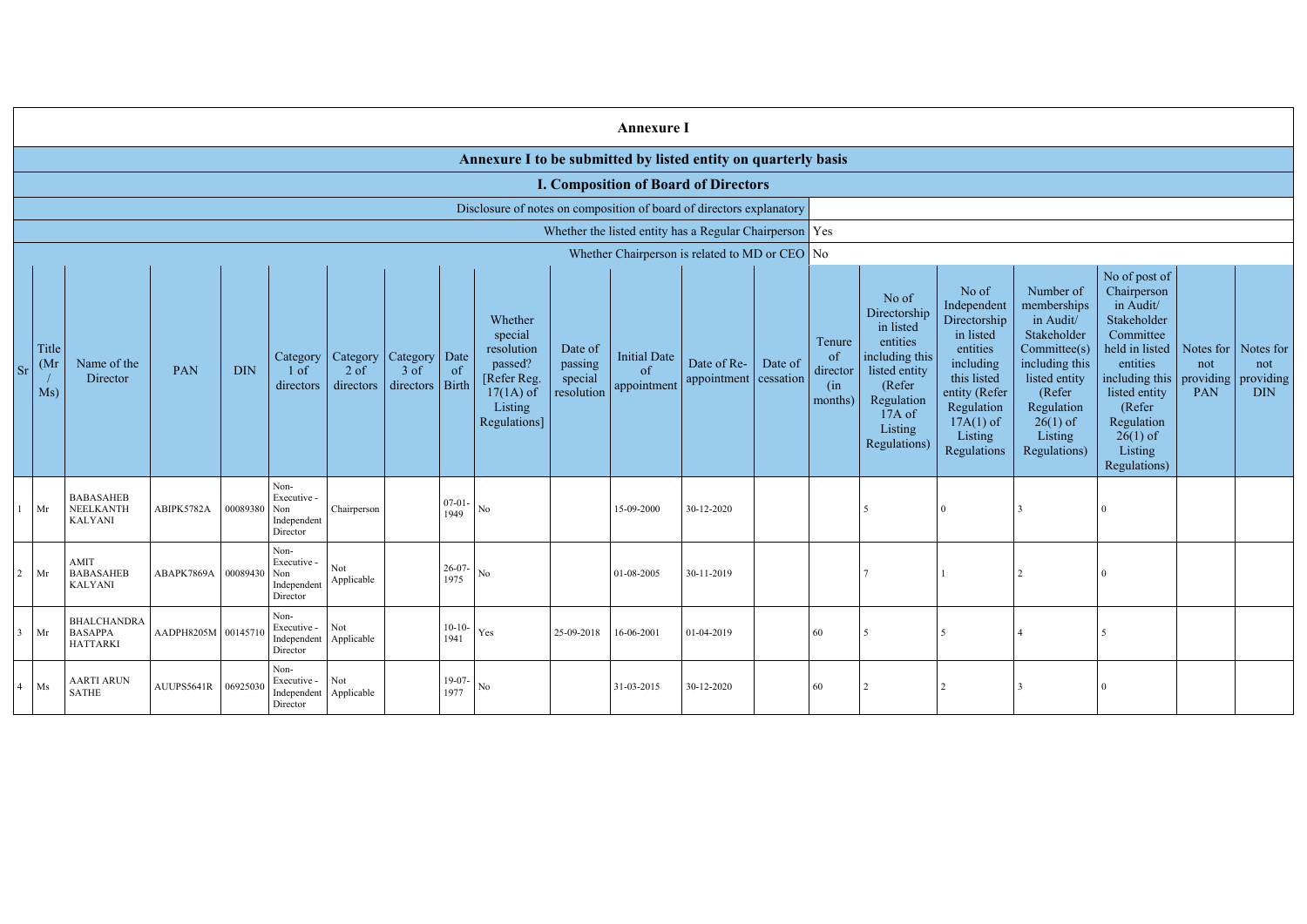|           | <b>Annexure I</b>                                              |                                                                      |                             |              |                                                           |                     |                                                           |                      |                                                                                                       |                                             |                                                     |                                                         |         |                                            |                                                                                                                                                |                                                                                                                                                                   |                                                                                                                                                                          |                                                                                                                                                                                                                                   |                         |                                |
|-----------|----------------------------------------------------------------|----------------------------------------------------------------------|-----------------------------|--------------|-----------------------------------------------------------|---------------------|-----------------------------------------------------------|----------------------|-------------------------------------------------------------------------------------------------------|---------------------------------------------|-----------------------------------------------------|---------------------------------------------------------|---------|--------------------------------------------|------------------------------------------------------------------------------------------------------------------------------------------------|-------------------------------------------------------------------------------------------------------------------------------------------------------------------|--------------------------------------------------------------------------------------------------------------------------------------------------------------------------|-----------------------------------------------------------------------------------------------------------------------------------------------------------------------------------------------------------------------------------|-------------------------|--------------------------------|
|           | Annexure I to be submitted by listed entity on quarterly basis |                                                                      |                             |              |                                                           |                     |                                                           |                      |                                                                                                       |                                             |                                                     |                                                         |         |                                            |                                                                                                                                                |                                                                                                                                                                   |                                                                                                                                                                          |                                                                                                                                                                                                                                   |                         |                                |
|           |                                                                | <b>I. Composition of Board of Directors</b>                          |                             |              |                                                           |                     |                                                           |                      |                                                                                                       |                                             |                                                     |                                                         |         |                                            |                                                                                                                                                |                                                                                                                                                                   |                                                                                                                                                                          |                                                                                                                                                                                                                                   |                         |                                |
|           |                                                                | Disclosure of notes on composition of board of directors explanatory |                             |              |                                                           |                     |                                                           |                      |                                                                                                       |                                             |                                                     |                                                         |         |                                            |                                                                                                                                                |                                                                                                                                                                   |                                                                                                                                                                          |                                                                                                                                                                                                                                   |                         |                                |
|           |                                                                |                                                                      |                             |              |                                                           |                     |                                                           |                      |                                                                                                       |                                             |                                                     | Whether the listed entity has a Regular Chairperson Yes |         |                                            |                                                                                                                                                |                                                                                                                                                                   |                                                                                                                                                                          |                                                                                                                                                                                                                                   |                         |                                |
|           |                                                                |                                                                      |                             |              |                                                           |                     |                                                           |                      |                                                                                                       |                                             |                                                     | Whether Chairperson is related to MD or CEO No          |         |                                            |                                                                                                                                                |                                                                                                                                                                   |                                                                                                                                                                          |                                                                                                                                                                                                                                   |                         |                                |
| <b>Sr</b> | Title<br>(Mr)<br>Ms)                                           | Name of the<br>Director                                              | PAN                         | <b>DIN</b>   | Category<br>1 of<br>directors                             | $2$ of<br>directors | Category   Category<br>$3$ of<br>$\text{directors}$ Birth | Date<br>-of          | Whether<br>special<br>resolution<br>passed?<br>[Refer Reg.]<br>$17(1A)$ of<br>Listing<br>Regulations] | Date of<br>passing<br>special<br>resolution | <b>Initial Date</b><br><sub>of</sub><br>appointment | Date of Re-<br>appointment cessation                    | Date of | Tenure<br>of<br>director<br>(in<br>months) | No of<br>Directorship<br>in listed<br>entities<br>including this<br>listed entity<br>(Refer<br>Regulation<br>17A of<br>Listing<br>Regulations) | No of<br>Independent<br>Directorship<br>in listed<br>entities<br>including<br>this listed<br>entity (Refer<br>Regulation<br>$17A(1)$ of<br>Listing<br>Regulations | Number of<br>memberships<br>in Audit/<br>Stakeholder<br>Committee(s)<br>including this<br>listed entity<br>(Refer<br>Regulation<br>$26(1)$ of<br>Listing<br>Regulations) | No of post of<br>Chairperson<br>in Audit/<br>Stakeholder<br>Committee<br>held in listed<br>entities<br>including this   providing   providing  <br>listed entity<br>(Refer<br>Regulation<br>$26(1)$ of<br>Listing<br>Regulations) | Notes for<br>not<br>PAN | Notes for<br>not<br><b>DIN</b> |
|           | Mr                                                             | <b>BABASAHEB</b><br>NEELKANTH<br><b>KALYANI</b>                      | ABIPK5782A                  | 00089380 Non | Non-<br>Executive -<br>Independent<br>Director            | Chairperson         |                                                           | $07-01$<br>1949      | $\rm No$                                                                                              |                                             | 15-09-2000                                          | 30-12-2020                                              |         |                                            |                                                                                                                                                |                                                                                                                                                                   |                                                                                                                                                                          |                                                                                                                                                                                                                                   |                         |                                |
|           | $2$ Mr                                                         | AMIT<br><b>BABASAHEB</b><br><b>KALYANI</b>                           | ABAPK7869A   00089430   Non |              | Non-<br>Executive -<br>Independent<br>Director            | Not<br>Applicable   |                                                           | $26-07$<br>1975      | No                                                                                                    |                                             | 01-08-2005                                          | 30-11-2019                                              |         |                                            |                                                                                                                                                |                                                                                                                                                                   |                                                                                                                                                                          |                                                                                                                                                                                                                                   |                         |                                |
|           | $3$ Mr                                                         | <b>BHALCHANDRA</b><br><b>BASAPPA</b><br>HATTARKI                     | AADPH8205M 00145710         |              | Non-<br>Executive -<br>Independent Applicable<br>Director | <b>Not</b>          |                                                           | $10-10-$<br>1941     | Yes                                                                                                   | 25-09-2018                                  | 16-06-2001                                          | 01-04-2019                                              |         | 60                                         | 5                                                                                                                                              |                                                                                                                                                                   |                                                                                                                                                                          | -5                                                                                                                                                                                                                                |                         |                                |
|           | $4$ Ms                                                         | <b>AARTI ARUN</b><br><b>SATHE</b>                                    | AUUPS5641R 06925030         |              | Non-<br>Executive -<br>Independent Applicable<br>Director | Not                 |                                                           | $19-07$ - No<br>1977 |                                                                                                       |                                             | 31-03-2015                                          | 30-12-2020                                              |         | 60                                         | 2                                                                                                                                              |                                                                                                                                                                   | 3                                                                                                                                                                        | $\overline{0}$                                                                                                                                                                                                                    |                         |                                |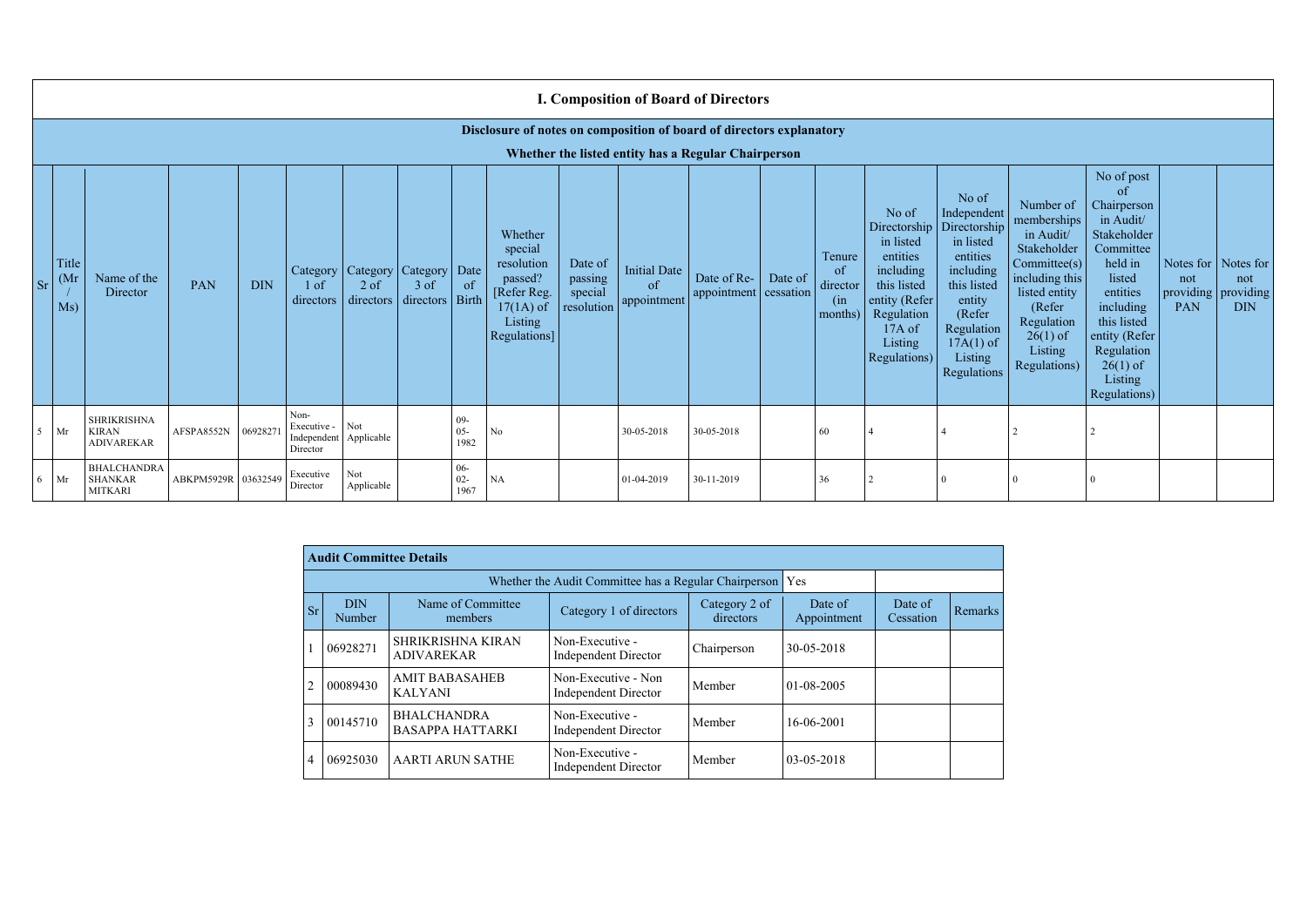|           | <b>I. Composition of Board of Directors</b>                          |                                                         |            |            |                                                |                                                              |                     |                          |                                                                                                               |                                             |                                          |                                      |         |                                            |                                                                                                                                                |                                                                                                                                                                      |                                                                                                                                                                                           |                                                                                                                                                                                                               |                                              |                                             |
|-----------|----------------------------------------------------------------------|---------------------------------------------------------|------------|------------|------------------------------------------------|--------------------------------------------------------------|---------------------|--------------------------|---------------------------------------------------------------------------------------------------------------|---------------------------------------------|------------------------------------------|--------------------------------------|---------|--------------------------------------------|------------------------------------------------------------------------------------------------------------------------------------------------|----------------------------------------------------------------------------------------------------------------------------------------------------------------------|-------------------------------------------------------------------------------------------------------------------------------------------------------------------------------------------|---------------------------------------------------------------------------------------------------------------------------------------------------------------------------------------------------------------|----------------------------------------------|---------------------------------------------|
|           | Disclosure of notes on composition of board of directors explanatory |                                                         |            |            |                                                |                                                              |                     |                          |                                                                                                               |                                             |                                          |                                      |         |                                            |                                                                                                                                                |                                                                                                                                                                      |                                                                                                                                                                                           |                                                                                                                                                                                                               |                                              |                                             |
|           | Whether the listed entity has a Regular Chairperson                  |                                                         |            |            |                                                |                                                              |                     |                          |                                                                                                               |                                             |                                          |                                      |         |                                            |                                                                                                                                                |                                                                                                                                                                      |                                                                                                                                                                                           |                                                                                                                                                                                                               |                                              |                                             |
| <b>Sr</b> | Title<br>(Mr)<br>Ms)                                                 | Name of the<br>Director                                 | <b>PAN</b> | <b>DIN</b> | 1 <sub>of</sub><br>directors                   | Category   Category   Category   Date<br>$2$ of<br>directors | $3$ of<br>directors | of<br>Birth              | Whether<br>special<br>resolution<br>passed?<br>[Refer Reg.]<br>$17(1A)$ of<br>Listing<br><b>Regulations</b> ] | Date of<br>passing<br>special<br>resolution | <b>Initial Date</b><br>of<br>appointment | Date of Re-<br>appointment cessation | Date of | Tenure<br>of<br>director<br>(in<br>months) | No of<br>Directorship<br>in listed<br>entities<br>including<br>this listed<br>entity (Refer<br>Regulation<br>17A of<br>Listing<br>Regulations) | No of<br>Independent<br>Directorship<br>in listed<br>entities<br>including<br>this listed<br>entity<br>(Refer<br>Regulation<br>$17A(1)$ of<br>Listing<br>Regulations | Number of<br>memberships<br>in Audit/<br>Stakeholder<br>$\text{Committee}(s)$<br>including this<br>listed entity<br>(Refer<br>Regulation<br>$26(1)$ of<br>Listing<br><b>Regulations</b> ) | No of post<br>of<br>Chairperson<br>in Audit/<br>Stakeholder<br>Committee<br>held in<br>listed<br>entities<br>including<br>this listed<br>entity (Refer<br>Regulation<br>$26(1)$ of<br>Listing<br>Regulations) | Notes for $\vert$<br>not<br>providing<br>PAN | Notes for<br>not<br>providing<br><b>DIN</b> |
|           | $5$ Mr                                                               | <b>SHRIKRISHNA</b><br><b>KIRAN</b><br><b>ADIVAREKAR</b> | AFSPA8552N | 06928271   | Non-<br>Executive -<br>Independent<br>Director | Not<br>Applicable                                            |                     | $09-$<br>$05 -$<br>1982  | No                                                                                                            |                                             | 30-05-2018                               | 30-05-2018                           |         | 60                                         |                                                                                                                                                |                                                                                                                                                                      |                                                                                                                                                                                           |                                                                                                                                                                                                               |                                              |                                             |
|           | $6$ Mr                                                               | <b>BHALCHANDRA</b><br><b>SHANKAR</b><br><b>MITKARI</b>  | ABKPM5929R | 03632549   | Executive<br>Director                          | Not<br>Applicable                                            |                     | $06 -$<br>$02 -$<br>1967 | <b>NA</b>                                                                                                     |                                             | 01-04-2019                               | 30-11-2019                           |         | 36                                         |                                                                                                                                                |                                                                                                                                                                      |                                                                                                                                                                                           |                                                                                                                                                                                                               |                                              |                                             |

|           | <b>Audit Committee Details</b> |                                                                                       |                                                             |             |                  |                      |                |  |  |  |  |  |  |
|-----------|--------------------------------|---------------------------------------------------------------------------------------|-------------------------------------------------------------|-------------|------------------|----------------------|----------------|--|--|--|--|--|--|
|           |                                |                                                                                       | Whether the Audit Committee has a Regular Chairperson   Yes |             |                  |                      |                |  |  |  |  |  |  |
| <b>Sr</b> | <b>DIN</b><br>Number           | Name of Committee<br>Category 2 of<br>Category 1 of directors<br>directors<br>members |                                                             |             |                  | Date of<br>Cessation | <b>Remarks</b> |  |  |  |  |  |  |
|           | 06928271                       | <b>SHRIKRISHNA KIRAN</b><br><b>ADIVAREKAR</b>                                         | Non-Executive -<br><b>Independent Director</b>              | Chairperson | 30-05-2018       |                      |                |  |  |  |  |  |  |
|           | 00089430                       | <b>AMIT BABASAHEB</b><br><b>KALYANI</b>                                               | Non-Executive - Non<br><b>Independent Director</b>          | Member      | $01 - 08 - 2005$ |                      |                |  |  |  |  |  |  |
| 3         | 00145710                       | <b>BHALCHANDRA</b><br><b>BASAPPA HATTARKI</b>                                         | Non-Executive -<br><b>Independent Director</b>              | Member      | 16-06-2001       |                      |                |  |  |  |  |  |  |
| 4         | 06925030                       | <b>AARTI ARUN SATHE</b>                                                               | Non-Executive -<br><b>Independent Director</b>              | Member      | $03 - 05 - 2018$ |                      |                |  |  |  |  |  |  |

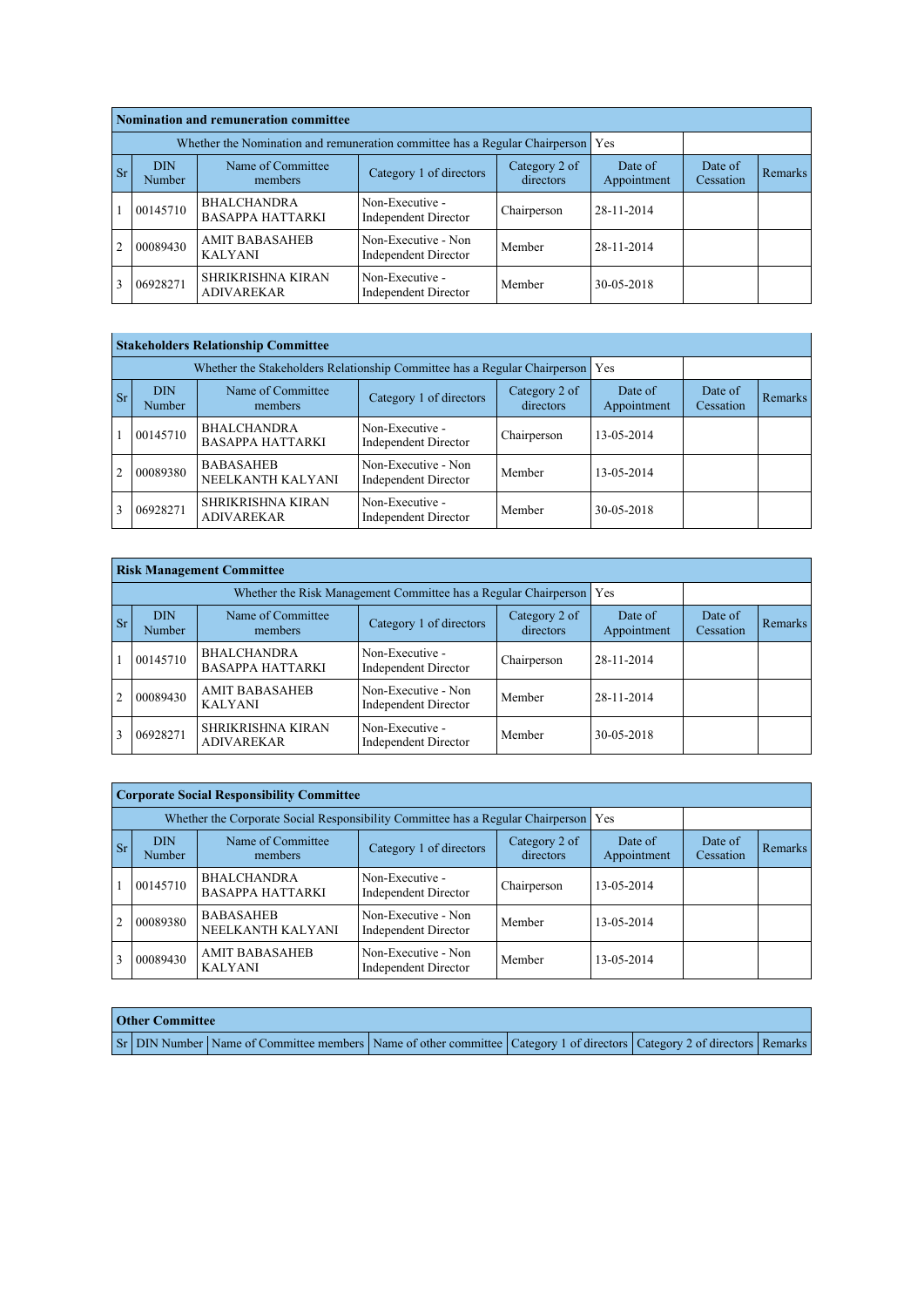|                | Nomination and remuneration committee |                                                                                 |                                                    |                            |                        |                      |         |  |  |  |  |  |  |
|----------------|---------------------------------------|---------------------------------------------------------------------------------|----------------------------------------------------|----------------------------|------------------------|----------------------|---------|--|--|--|--|--|--|
|                |                                       | Whether the Nomination and remuneration committee has a Regular Chairperson Yes |                                                    |                            |                        |                      |         |  |  |  |  |  |  |
| <b>Sr</b>      | <b>DIN</b><br>Number                  | Name of Committee<br>members                                                    | Category 1 of directors                            | Category 2 of<br>directors | Date of<br>Appointment | Date of<br>Cessation | Remarks |  |  |  |  |  |  |
|                | 00145710                              | <b>BHALCHANDRA</b><br><b>BASAPPA HATTARKI</b>                                   | Non-Executive -<br><b>Independent Director</b>     | Chairperson                | 28-11-2014             |                      |         |  |  |  |  |  |  |
| $\overline{2}$ | 00089430                              | <b>AMIT BABASAHEB</b><br><b>KALYANI</b>                                         | Non-Executive - Non<br><b>Independent Director</b> | Member                     | 28-11-2014             |                      |         |  |  |  |  |  |  |
|                | 06928271                              | <b>SHRIKRISHNA KIRAN</b><br><b>ADIVAREKAR</b>                                   | Non-Executive -<br><b>Independent Director</b>     | Member                     | 30-05-2018             |                      |         |  |  |  |  |  |  |

|                | <b>Stakeholders Relationship Committee</b> |                                                                               |                                                    |                            |                        |                      |         |  |  |  |  |  |  |
|----------------|--------------------------------------------|-------------------------------------------------------------------------------|----------------------------------------------------|----------------------------|------------------------|----------------------|---------|--|--|--|--|--|--|
|                |                                            | Whether the Stakeholders Relationship Committee has a Regular Chairperson Yes |                                                    |                            |                        |                      |         |  |  |  |  |  |  |
| <b>Sr</b>      | <b>DIN</b><br>Number                       | Name of Committee<br>members                                                  | Category 1 of directors                            | Category 2 of<br>directors | Date of<br>Appointment | Date of<br>Cessation | Remarks |  |  |  |  |  |  |
|                | 00145710                                   | <b>BHALCHANDRA</b><br><b>BASAPPA HATTARKI</b>                                 | Non-Executive -<br><b>Independent Director</b>     | Chairperson                | 13-05-2014             |                      |         |  |  |  |  |  |  |
| $\overline{2}$ | 00089380                                   | <b>BABASAHEB</b><br>NEELKANTH KALYANI                                         | Non-Executive - Non<br><b>Independent Director</b> | Member                     | 13-05-2014             |                      |         |  |  |  |  |  |  |
|                | 06928271                                   | SHRIKRISHNA KIRAN<br><b>ADIVAREKAR</b>                                        | Non-Executive -<br><b>Independent Director</b>     | Member                     | 30-05-2018             |                      |         |  |  |  |  |  |  |

|               | <b>Risk Management Committee</b> |                                               |                                                                       |                            |                        |                      |         |  |  |  |  |  |  |
|---------------|----------------------------------|-----------------------------------------------|-----------------------------------------------------------------------|----------------------------|------------------------|----------------------|---------|--|--|--|--|--|--|
|               |                                  |                                               | Whether the Risk Management Committee has a Regular Chairperson   Yes |                            |                        |                      |         |  |  |  |  |  |  |
| <sub>Sr</sub> | <b>DIN</b><br><b>Number</b>      | Name of Committee<br>members                  | Category 1 of directors                                               | Category 2 of<br>directors | Date of<br>Appointment | Date of<br>Cessation | Remarks |  |  |  |  |  |  |
|               | 00145710                         | <b>BHALCHANDRA</b><br><b>BASAPPA HATTARKI</b> | Non-Executive -<br><b>Independent Director</b>                        | Chairperson                | 28-11-2014             |                      |         |  |  |  |  |  |  |
| 2             | 00089430                         | <b>AMIT BABASAHEB</b><br><b>KALYANI</b>       | Non-Executive - Non<br><b>Independent Director</b>                    | Member                     | 28-11-2014             |                      |         |  |  |  |  |  |  |
|               | 06928271                         | <b>SHRIKRISHNA KIRAN</b><br><b>ADIVAREKAR</b> | Non-Executive -<br><b>Independent Director</b>                        | Member                     | 30-05-2018             |                      |         |  |  |  |  |  |  |

|                | <b>Corporate Social Responsibility Committee</b> |                                                                                     |                                                    |                      |            |  |  |  |  |  |  |  |  |  |
|----------------|--------------------------------------------------|-------------------------------------------------------------------------------------|----------------------------------------------------|----------------------|------------|--|--|--|--|--|--|--|--|--|
|                |                                                  | Whether the Corporate Social Responsibility Committee has a Regular Chairperson Yes |                                                    |                      |            |  |  |  |  |  |  |  |  |  |
| <b>Sr</b>      | <b>DIN</b><br>Number                             | Name of Committee<br>members                                                        | Date of<br>Appointment                             | Date of<br>Cessation | Remarks    |  |  |  |  |  |  |  |  |  |
|                | 00145710                                         | <b>BHALCHANDRA</b><br><b>BASAPPA HATTARKI</b>                                       | Non-Executive -<br><b>Independent Director</b>     | Chairperson          | 13-05-2014 |  |  |  |  |  |  |  |  |  |
| $\overline{2}$ | 00089380                                         | <b>BABASAHEB</b><br>NEELKANTH KALYANI                                               | Non-Executive - Non<br><b>Independent Director</b> | Member               | 13-05-2014 |  |  |  |  |  |  |  |  |  |
|                | 00089430                                         | <b>AMIT BABASAHEB</b><br><b>KALYANI</b>                                             | Non-Executive - Non<br><b>Independent Director</b> | Member               | 13-05-2014 |  |  |  |  |  |  |  |  |  |

| <b>Other Committee</b> |                                                                                                                         |  |  |
|------------------------|-------------------------------------------------------------------------------------------------------------------------|--|--|
|                        | Sr DIN Number Name of Committee members Name of other committee Category 1 of directors Category 2 of directors Remarks |  |  |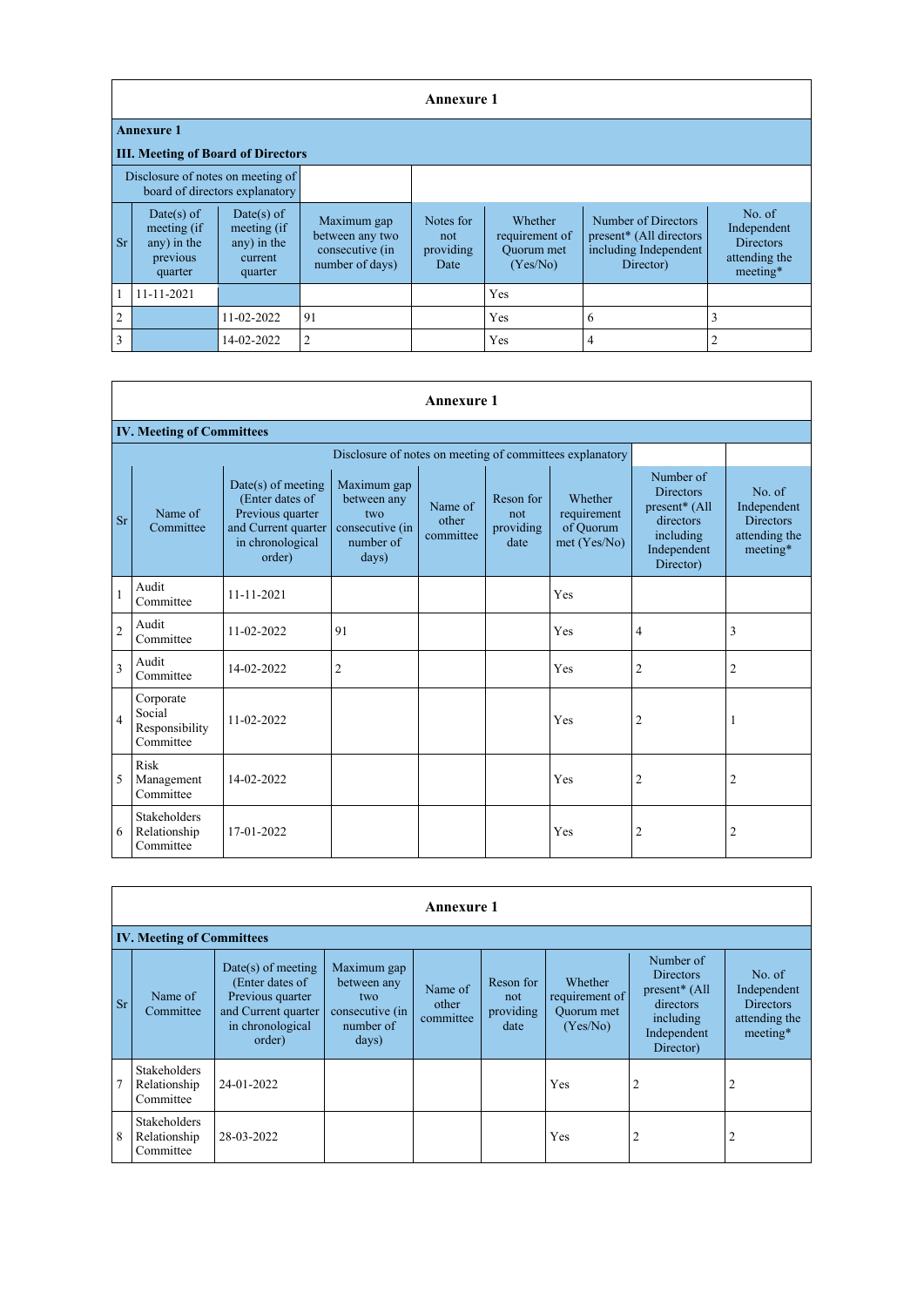|                |                                                                     |                                                                |                                                                      | <b>Annexure 1</b>                     |                                                            |                                                                                                  |                                                                        |  |  |  |  |
|----------------|---------------------------------------------------------------------|----------------------------------------------------------------|----------------------------------------------------------------------|---------------------------------------|------------------------------------------------------------|--------------------------------------------------------------------------------------------------|------------------------------------------------------------------------|--|--|--|--|
|                | <b>Annexure 1</b>                                                   |                                                                |                                                                      |                                       |                                                            |                                                                                                  |                                                                        |  |  |  |  |
|                | <b>III. Meeting of Board of Directors</b>                           |                                                                |                                                                      |                                       |                                                            |                                                                                                  |                                                                        |  |  |  |  |
|                | Disclosure of notes on meeting of<br>board of directors explanatory |                                                                |                                                                      |                                       |                                                            |                                                                                                  |                                                                        |  |  |  |  |
| <b>Sr</b>      | Date(s) of<br>meeting (if<br>any) in the<br>previous<br>quarter     | Date(s) of<br>meeting (if<br>any) in the<br>current<br>quarter | Maximum gap<br>between any two<br>consecutive (in<br>number of days) | Notes for<br>not<br>providing<br>Date | <b>Whether</b><br>requirement of<br>Quorum met<br>(Yes/No) | Number of Directors<br>present <sup>*</sup> (All directors<br>including Independent<br>Director) | No. of<br>Independent<br><b>Directors</b><br>attending the<br>meeting* |  |  |  |  |
|                | 11-11-2021                                                          |                                                                |                                                                      |                                       | Yes                                                        |                                                                                                  |                                                                        |  |  |  |  |
| $\overline{2}$ |                                                                     | 11-02-2022                                                     | 91                                                                   |                                       | Yes                                                        | 6                                                                                                | 3                                                                      |  |  |  |  |
| 3              |                                                                     | 14-02-2022                                                     | $\overline{2}$                                                       |                                       | Yes                                                        | 4                                                                                                | $\overline{2}$                                                         |  |  |  |  |

|                | <b>Annexure 1</b>                                        |                                                                                                                  |                                                                            |                               |                                       |                                                     |                                                                                                      |                                                                        |  |  |  |  |  |  |  |
|----------------|----------------------------------------------------------|------------------------------------------------------------------------------------------------------------------|----------------------------------------------------------------------------|-------------------------------|---------------------------------------|-----------------------------------------------------|------------------------------------------------------------------------------------------------------|------------------------------------------------------------------------|--|--|--|--|--|--|--|
|                | <b>IV. Meeting of Committees</b>                         |                                                                                                                  |                                                                            |                               |                                       |                                                     |                                                                                                      |                                                                        |  |  |  |  |  |  |  |
|                | Disclosure of notes on meeting of committees explanatory |                                                                                                                  |                                                                            |                               |                                       |                                                     |                                                                                                      |                                                                        |  |  |  |  |  |  |  |
| <b>Sr</b>      | Name of<br>Committee                                     | $Date(s)$ of meeting<br>(Enter dates of<br>Previous quarter<br>and Current quarter<br>in chronological<br>order) | Maximum gap<br>between any<br>two<br>consecutive (in<br>number of<br>days) | Name of<br>other<br>committee | Reson for<br>not<br>providing<br>date | Whether<br>requirement<br>of Quorum<br>met (Yes/No) | Number of<br><b>Directors</b><br>present* (All<br>directors<br>including<br>Independent<br>Director) | No. of<br>Independent<br><b>Directors</b><br>attending the<br>meeting* |  |  |  |  |  |  |  |
|                | Audit<br>Committee                                       | 11-11-2021                                                                                                       |                                                                            |                               |                                       | Yes                                                 |                                                                                                      |                                                                        |  |  |  |  |  |  |  |
| $\overline{2}$ | Audit<br>Committee                                       | 11-02-2022                                                                                                       | 91                                                                         |                               |                                       | Yes                                                 | $\overline{4}$                                                                                       | 3                                                                      |  |  |  |  |  |  |  |
| $\overline{3}$ | Audit<br>Committee                                       | 14-02-2022                                                                                                       | $\overline{2}$                                                             |                               |                                       | Yes                                                 | $\overline{2}$                                                                                       | $\overline{2}$                                                         |  |  |  |  |  |  |  |
| $\overline{4}$ | Corporate<br>Social<br>Responsibility<br>Committee       | 11-02-2022                                                                                                       |                                                                            |                               |                                       | Yes                                                 | $\overline{2}$                                                                                       | $\mathbf 1$                                                            |  |  |  |  |  |  |  |
| 5              | <b>Risk</b><br>Management<br>Committee                   | 14-02-2022                                                                                                       |                                                                            |                               |                                       | Yes                                                 | $\overline{2}$                                                                                       | $\overline{2}$                                                         |  |  |  |  |  |  |  |
| 6              | Stakeholders<br>Relationship<br>Committee                | 17-01-2022                                                                                                       |                                                                            |                               |                                       | Yes                                                 | $\overline{2}$                                                                                       | $\overline{2}$                                                         |  |  |  |  |  |  |  |

|           | <b>Annexure 1</b>                                |                                                                                                                  |                                                                            |                               |                                       |                                                     |                                                                                                      |                                                                        |  |  |  |  |  |  |
|-----------|--------------------------------------------------|------------------------------------------------------------------------------------------------------------------|----------------------------------------------------------------------------|-------------------------------|---------------------------------------|-----------------------------------------------------|------------------------------------------------------------------------------------------------------|------------------------------------------------------------------------|--|--|--|--|--|--|
|           | <b>IV. Meeting of Committees</b>                 |                                                                                                                  |                                                                            |                               |                                       |                                                     |                                                                                                      |                                                                        |  |  |  |  |  |  |
| <b>Sr</b> | Name of<br>Committee                             | $Date(s)$ of meeting<br>(Enter dates of<br>Previous quarter<br>and Current quarter<br>in chronological<br>order) | Maximum gap<br>between any<br>two<br>consecutive (in<br>number of<br>days) | Name of<br>other<br>committee | Reson for<br>not<br>providing<br>date | Whether<br>requirement of<br>Quorum met<br>(Yes/No) | Number of<br><b>Directors</b><br>present* (All<br>directors<br>including<br>Independent<br>Director) | No. of<br>Independent<br><b>Directors</b><br>attending the<br>meeting* |  |  |  |  |  |  |
| 7         | <b>Stakeholders</b><br>Relationship<br>Committee | 24-01-2022                                                                                                       |                                                                            |                               |                                       | Yes                                                 | $\overline{2}$                                                                                       | $\overline{2}$                                                         |  |  |  |  |  |  |
| 8         | Stakeholders<br>Relationship<br>Committee        | 28-03-2022                                                                                                       |                                                                            |                               |                                       | Yes                                                 | $\overline{2}$                                                                                       | 2                                                                      |  |  |  |  |  |  |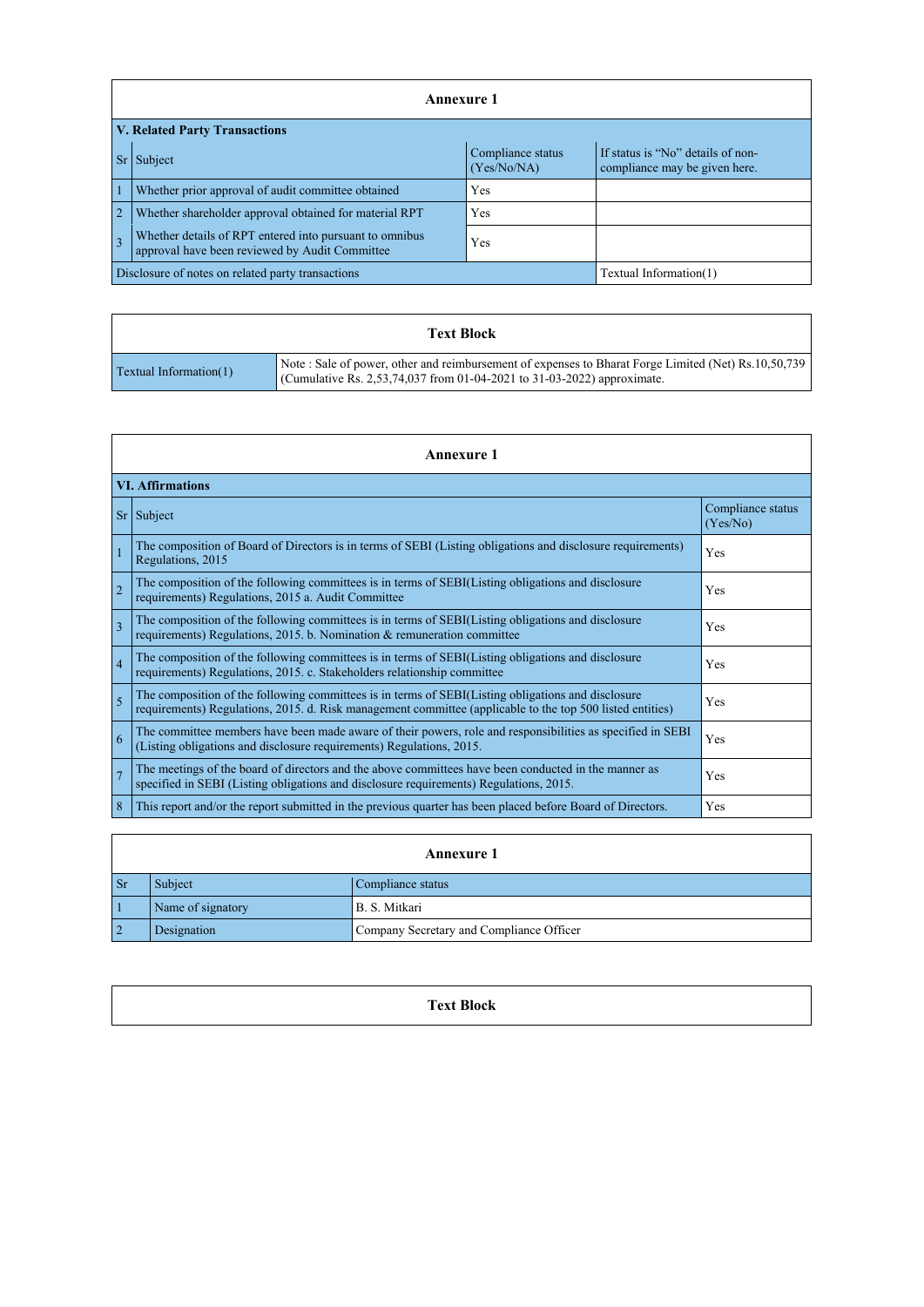|                                                                                                                                | <b>Annexure 1</b>                                                                                         |     |  |  |  |  |
|--------------------------------------------------------------------------------------------------------------------------------|-----------------------------------------------------------------------------------------------------------|-----|--|--|--|--|
|                                                                                                                                | <b>V. Related Party Transactions</b>                                                                      |     |  |  |  |  |
| If status is "No" details of non-<br>Compliance status<br><b>Sr</b><br>Subject<br>(Yes/No/NA)<br>compliance may be given here. |                                                                                                           |     |  |  |  |  |
| $\overline{1}$                                                                                                                 | Whether prior approval of audit committee obtained                                                        | Yes |  |  |  |  |
| $\overline{2}$                                                                                                                 | Whether shareholder approval obtained for material RPT                                                    | Yes |  |  |  |  |
| $\overline{3}$                                                                                                                 | Whether details of RPT entered into pursuant to omnibus<br>approval have been reviewed by Audit Committee | Yes |  |  |  |  |
|                                                                                                                                | Disclosure of notes on related party transactions<br>Textual Information(1)                               |     |  |  |  |  |

|                               | <b>Text Block</b>                                                                                                                                                             |
|-------------------------------|-------------------------------------------------------------------------------------------------------------------------------------------------------------------------------|
| <b>Textual Information(1)</b> | Note: Sale of power, other and reimbursement of expenses to Bharat Forge Limited (Net) Rs.10,50,739<br>Cumulative Rs. 2,53,74,037 from 01-04-2021 to 31-03-2022) approximate. |

|                | <b>Annexure</b> 1                                                                                                                                                                                               |                               |  |  |  |
|----------------|-----------------------------------------------------------------------------------------------------------------------------------------------------------------------------------------------------------------|-------------------------------|--|--|--|
|                | <b>VI. Affirmations</b>                                                                                                                                                                                         |                               |  |  |  |
|                | $Sr$ Subject                                                                                                                                                                                                    | Compliance status<br>(Yes/No) |  |  |  |
|                | The composition of Board of Directors is in terms of SEBI (Listing obligations and disclosure requirements)<br>Regulations, 2015                                                                                | Yes                           |  |  |  |
| $\overline{2}$ | The composition of the following committees is in terms of SEBI(Listing obligations and disclosure<br>requirements) Regulations, 2015 a. Audit Committee                                                        | Yes                           |  |  |  |
| $\overline{3}$ | The composition of the following committees is in terms of SEBI(Listing obligations and disclosure<br>requirements) Regulations, 2015. b. Nomination & remuneration committee                                   | Yes                           |  |  |  |
| $\overline{4}$ | The composition of the following committees is in terms of SEBI(Listing obligations and disclosure<br>requirements) Regulations, 2015. c. Stakeholders relationship committee                                   | Yes                           |  |  |  |
| $\overline{5}$ | The composition of the following committees is in terms of SEBI(Listing obligations and disclosure<br>requirements) Regulations, 2015. d. Risk management committee (applicable to the top 500 listed entities) | Yes                           |  |  |  |
| 6              | The committee members have been made aware of their powers, role and responsibilities as specified in SEBI<br>(Listing obligations and disclosure requirements) Regulations, 2015.                              | Yes                           |  |  |  |
| $\overline{7}$ | The meetings of the board of directors and the above committees have been conducted in the manner as<br>specified in SEBI (Listing obligations and disclosure requirements) Regulations, 2015.                  | Yes                           |  |  |  |
| 8              | This report and/or the report submitted in the previous quarter has been placed before Board of Directors.                                                                                                      | Yes                           |  |  |  |

|           | <b>Annexure 1</b>                                       |  |  |  |  |
|-----------|---------------------------------------------------------|--|--|--|--|
| <b>Sr</b> | Subject<br>Compliance status                            |  |  |  |  |
|           | Name of signatory<br>B. S. Mitkari                      |  |  |  |  |
|           | Company Secretary and Compliance Officer<br>Designation |  |  |  |  |

## **Text Block**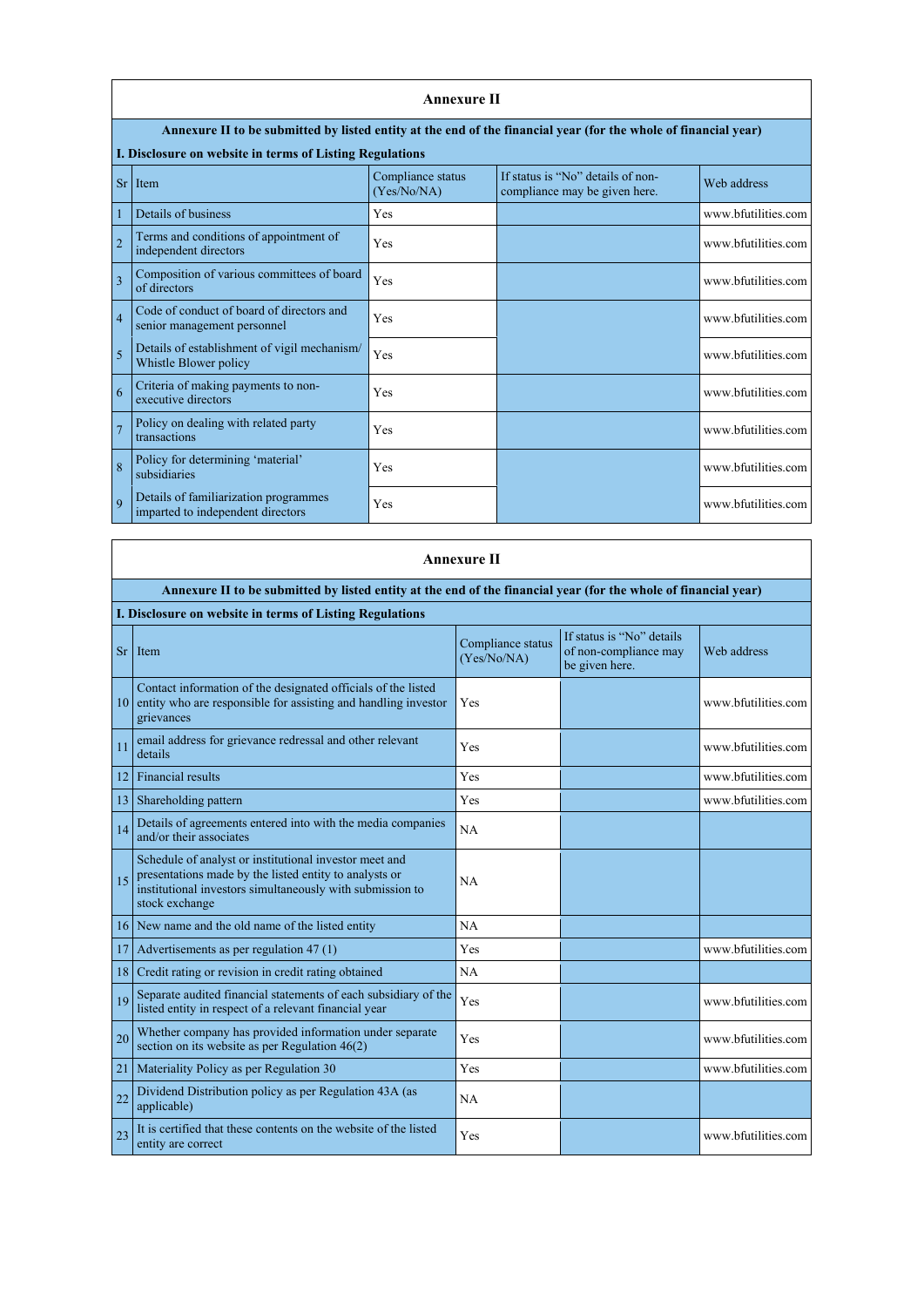|                 | <b>Annexure II</b>                                                                                              |                                  |                                                                    |                     |  |  |
|-----------------|-----------------------------------------------------------------------------------------------------------------|----------------------------------|--------------------------------------------------------------------|---------------------|--|--|
|                 | Annexure II to be submitted by listed entity at the end of the financial year (for the whole of financial year) |                                  |                                                                    |                     |  |  |
|                 | I. Disclosure on website in terms of Listing Regulations                                                        |                                  |                                                                    |                     |  |  |
| Sr <sub>0</sub> | Item                                                                                                            | Compliance status<br>(Yes/No/NA) | If status is "No" details of non-<br>compliance may be given here. | Web address         |  |  |
|                 | Details of business                                                                                             | Yes                              |                                                                    | www.bfutilities.com |  |  |
| $\overline{2}$  | Terms and conditions of appointment of<br>independent directors                                                 | Yes                              |                                                                    | www.bfutilities.com |  |  |
| 3               | Composition of various committees of board<br>of directors                                                      | Yes                              |                                                                    | www.bfutilities.com |  |  |
| $\overline{4}$  | Code of conduct of board of directors and<br>senior management personnel                                        | Yes                              |                                                                    | www.bfutilities.com |  |  |
| 5               | Details of establishment of vigil mechanism/<br>Whistle Blower policy                                           | Yes                              |                                                                    | www.bfutilities.com |  |  |
| 6               | Criteria of making payments to non-<br>executive directors                                                      | Yes                              |                                                                    | www.bfutilities.com |  |  |
|                 | Policy on dealing with related party<br>transactions                                                            | Yes                              |                                                                    | www.bfutilities.com |  |  |
| 8               | Policy for determining 'material'<br>subsidiaries                                                               | Yes                              |                                                                    | www.bfutilities.com |  |  |
| $\overline{q}$  | Details of familiarization programmes<br>imparted to independent directors                                      | Yes                              |                                                                    | www.bfutilities.com |  |  |

| <b>Annexure II</b>                                                                                                                                                                                    |                                  |                                                                      |                     |  |  |  |
|-------------------------------------------------------------------------------------------------------------------------------------------------------------------------------------------------------|----------------------------------|----------------------------------------------------------------------|---------------------|--|--|--|
| Annexure II to be submitted by listed entity at the end of the financial year (for the whole of financial year)                                                                                       |                                  |                                                                      |                     |  |  |  |
| I. Disclosure on website in terms of Listing Regulations                                                                                                                                              |                                  |                                                                      |                     |  |  |  |
| <b>Sr</b><br>Item                                                                                                                                                                                     | Compliance status<br>(Yes/No/NA) | If status is "No" details<br>of non-compliance may<br>be given here. | Web address         |  |  |  |
| Contact information of the designated officials of the listed<br>entity who are responsible for assisting and handling investor<br>10<br>grievances                                                   | Yes                              |                                                                      | www.bfutilities.com |  |  |  |
| email address for grievance redressal and other relevant<br>11<br>details                                                                                                                             | Yes                              |                                                                      | www.bfutilities.com |  |  |  |
| <b>Financial results</b><br>12                                                                                                                                                                        | Yes                              |                                                                      | www.bfutilities.com |  |  |  |
| Shareholding pattern<br>13                                                                                                                                                                            | Yes                              |                                                                      | www.bfutilities.com |  |  |  |
| Details of agreements entered into with the media companies<br>14<br>and/or their associates                                                                                                          | <b>NA</b>                        |                                                                      |                     |  |  |  |
| Schedule of analyst or institutional investor meet and<br>presentations made by the listed entity to analysts or<br>15<br>institutional investors simultaneously with submission to<br>stock exchange | <b>NA</b>                        |                                                                      |                     |  |  |  |
| New name and the old name of the listed entity<br>16                                                                                                                                                  | NA                               |                                                                      |                     |  |  |  |
| Advertisements as per regulation 47 (1)<br>17                                                                                                                                                         | Yes                              |                                                                      | www.bfutilities.com |  |  |  |
| Credit rating or revision in credit rating obtained<br>18                                                                                                                                             | <b>NA</b>                        |                                                                      |                     |  |  |  |

 $\overline{\phantom{a}}$ 

|    | 19 Separate audited financial statements of each subsidiary of the listed entity in respect of a relevant financial year | Yes       | www.bfutilities.com |
|----|--------------------------------------------------------------------------------------------------------------------------|-----------|---------------------|
| 20 | Whether company has provided information under separate<br>section on its website as per Regulation $46(2)$              | Yes       | www.bfutilities.com |
| 21 | Materiality Policy as per Regulation 30                                                                                  | Yes       | www.bfutilities.com |
|    | Dividend Distribution policy as per Regulation 43A (as<br>applicable)                                                    | <b>NA</b> |                     |
| 23 | It is certified that these contents on the website of the listed<br>entity are correct                                   | Yes       | www.bfutilities.com |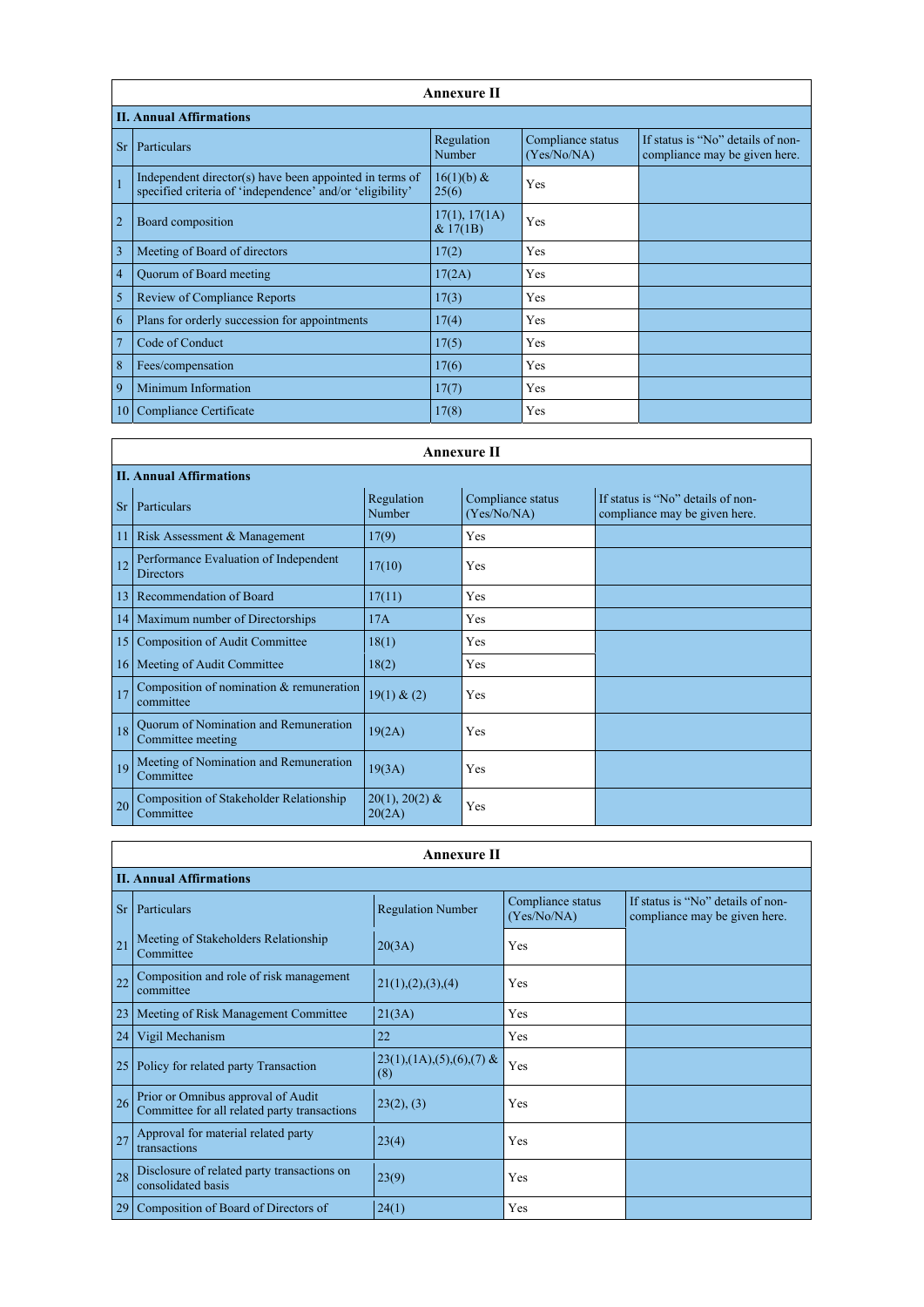|                | <b>Annexure II</b>                                                                                                   |                           |                                  |                                                                    |  |  |
|----------------|----------------------------------------------------------------------------------------------------------------------|---------------------------|----------------------------------|--------------------------------------------------------------------|--|--|
|                | <b>II. Annual Affirmations</b>                                                                                       |                           |                                  |                                                                    |  |  |
| <b>Sr</b>      | Particulars                                                                                                          | Regulation<br>Number      | Compliance status<br>(Yes/No/NA) | If status is "No" details of non-<br>compliance may be given here. |  |  |
| $\overline{1}$ | Independent director(s) have been appointed in terms of<br>specified criteria of 'independence' and/or 'eligibility' | $16(1)(b)$ &<br>25(6)     | Yes                              |                                                                    |  |  |
| $\overline{2}$ | Board composition                                                                                                    | 17(1), 17(1A)<br>& 17(1B) | Yes                              |                                                                    |  |  |
| $\overline{3}$ | Meeting of Board of directors                                                                                        | 17(2)                     | Yes                              |                                                                    |  |  |
| $\overline{4}$ | Quorum of Board meeting                                                                                              | 17(2A)                    | Yes                              |                                                                    |  |  |
| 5              | <b>Review of Compliance Reports</b>                                                                                  | 17(3)                     | Yes                              |                                                                    |  |  |
| 6              | Plans for orderly succession for appointments                                                                        | 17(4)                     | Yes                              |                                                                    |  |  |
| $\overline{7}$ | Code of Conduct                                                                                                      | 17(5)                     | Yes                              |                                                                    |  |  |
| 8              | Fees/compensation                                                                                                    | 17(6)                     | Yes                              |                                                                    |  |  |
| 9              | Minimum Information                                                                                                  | 17(7)                     | Yes                              |                                                                    |  |  |
| 10             | <b>Compliance Certificate</b>                                                                                        | 17(8)                     | Yes                              |                                                                    |  |  |

|                 | <b>Annexure II</b>                                          |                            |                                  |                                                                    |  |  |  |  |
|-----------------|-------------------------------------------------------------|----------------------------|----------------------------------|--------------------------------------------------------------------|--|--|--|--|
|                 | <b>II. Annual Affirmations</b>                              |                            |                                  |                                                                    |  |  |  |  |
| <b>Sr</b>       | Particulars                                                 | Regulation<br>Number       | Compliance status<br>(Yes/No/NA) | If status is "No" details of non-<br>compliance may be given here. |  |  |  |  |
| 11              | Risk Assessment & Management                                | 17(9)                      | Yes                              |                                                                    |  |  |  |  |
| 12              | Performance Evaluation of Independent<br>Directors          | 17(10)                     | Yes                              |                                                                    |  |  |  |  |
| 13              | Recommendation of Board                                     | 17(11)                     | Yes                              |                                                                    |  |  |  |  |
| 14              | Maximum number of Directorships                             | 17A                        | Yes                              |                                                                    |  |  |  |  |
| 15              | <b>Composition of Audit Committee</b>                       | 18(1)                      | Yes                              |                                                                    |  |  |  |  |
| 16 <sup>1</sup> | Meeting of Audit Committee                                  | 18(2)                      | Yes                              |                                                                    |  |  |  |  |
| 17              | Composition of nomination & remuneration<br>committee       | 19(1) & (2)                | Yes                              |                                                                    |  |  |  |  |
| 18              | Quorum of Nomination and Remuneration<br>Committee meeting  | 19(2A)                     | Yes                              |                                                                    |  |  |  |  |
| 19              | Meeting of Nomination and Remuneration<br>Committee         | 19(3A)                     | Yes                              |                                                                    |  |  |  |  |
| 20              | <b>Composition of Stakeholder Relationship</b><br>Committee | $20(1), 20(2)$ &<br>20(2A) | Yes                              |                                                                    |  |  |  |  |

|                                                                                                                                                        | <b>Annexure II</b><br><b>II. Annual Affirmations</b>                               |                                       |     |  |  |
|--------------------------------------------------------------------------------------------------------------------------------------------------------|------------------------------------------------------------------------------------|---------------------------------------|-----|--|--|
| Compliance status<br>If status is "No" details of non-<br><b>Regulation Number</b><br>Sr   Particulars<br>(Yes/No/NA)<br>compliance may be given here. |                                                                                    |                                       |     |  |  |
| 21                                                                                                                                                     | Meeting of Stakeholders Relationship<br>Committee                                  | 20(3A)                                | Yes |  |  |
| 22                                                                                                                                                     | Composition and role of risk management<br>committee                               | 21(1), (2), (3), (4)                  | Yes |  |  |
| 23                                                                                                                                                     | Meeting of Risk Management Committee                                               | 21(3A)                                | Yes |  |  |
| 24                                                                                                                                                     | Vigil Mechanism                                                                    | 22                                    | Yes |  |  |
| 25                                                                                                                                                     | Policy for related party Transaction                                               | $23(1), (1A), (5), (6), (7)$ &<br>(8) | Yes |  |  |
| 26                                                                                                                                                     | Prior or Omnibus approval of Audit<br>Committee for all related party transactions | 23(2), (3)                            | Yes |  |  |
| 27                                                                                                                                                     | Approval for material related party<br>transactions                                | 23(4)                                 | Yes |  |  |
| 28                                                                                                                                                     | Disclosure of related party transactions on<br>consolidated basis                  | 23(9)                                 | Yes |  |  |
| 29                                                                                                                                                     | Composition of Board of Directors of                                               | 24(1)                                 | Yes |  |  |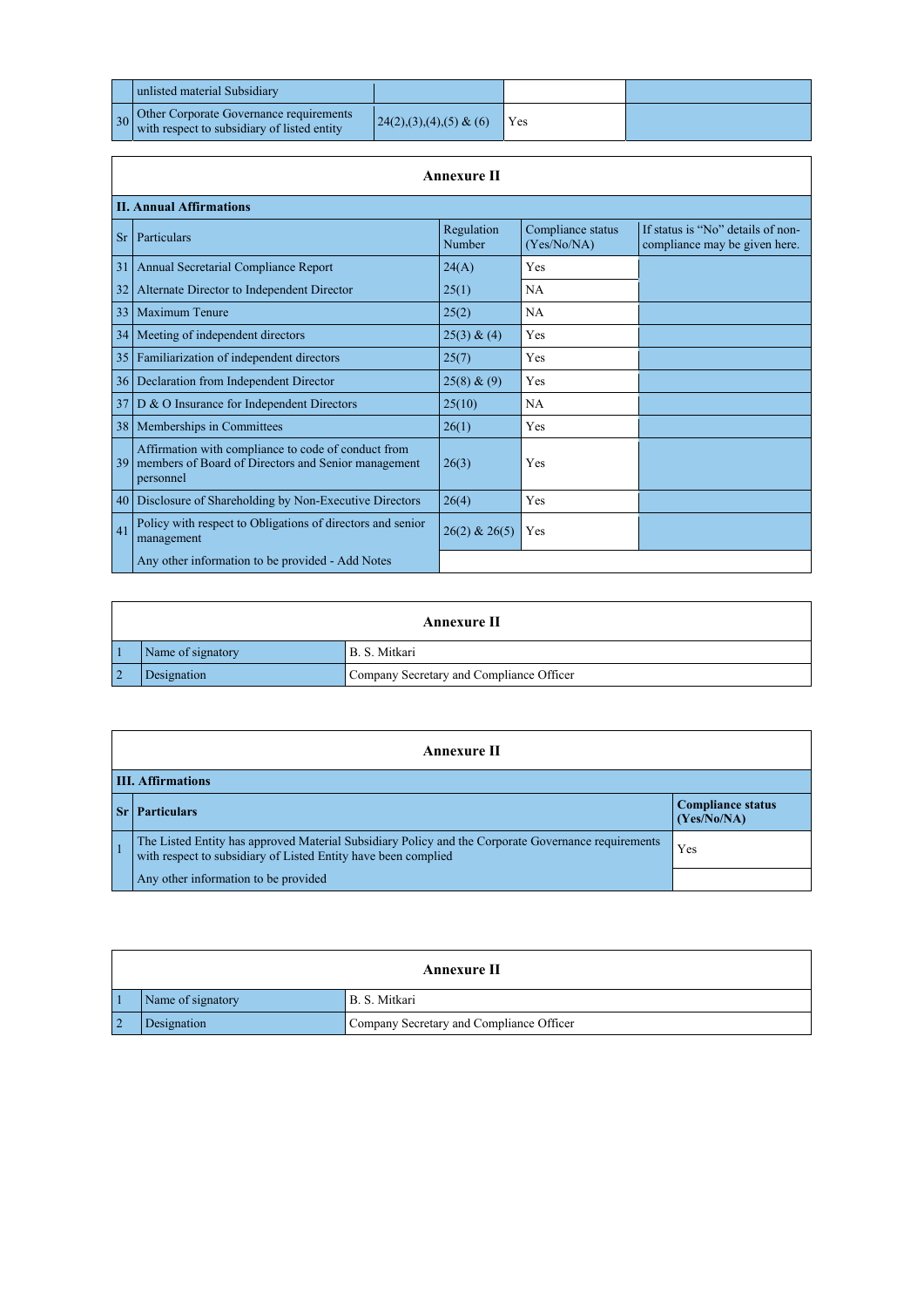| unlisted material Subsidiary                                                                                          |                           |     |  |
|-----------------------------------------------------------------------------------------------------------------------|---------------------------|-----|--|
| $\left  \frac{30}{10} \right $ Other Corporate Governance requirements<br>with respect to subsidiary of listed entity | $24(2),(3),(4),(5)$ & (6) | Yes |  |

|           | <b>Annexure II</b>                                                                                                      |                      |                                  |                                                                    |  |  |
|-----------|-------------------------------------------------------------------------------------------------------------------------|----------------------|----------------------------------|--------------------------------------------------------------------|--|--|
|           | <b>II. Annual Affirmations</b>                                                                                          |                      |                                  |                                                                    |  |  |
| <b>Sr</b> | Particulars                                                                                                             | Regulation<br>Number | Compliance status<br>(Yes/No/NA) | If status is "No" details of non-<br>compliance may be given here. |  |  |
| 31        | Annual Secretarial Compliance Report                                                                                    | 24(A)                | Yes                              |                                                                    |  |  |
| 32        | Alternate Director to Independent Director                                                                              | 25(1)                | <b>NA</b>                        |                                                                    |  |  |
| 33        | <b>Maximum Tenure</b>                                                                                                   | 25(2)                | <b>NA</b>                        |                                                                    |  |  |
| 34        | Meeting of independent directors                                                                                        | 25(3) & (4)          | Yes                              |                                                                    |  |  |
|           | 35   Familiarization of independent directors                                                                           | 25(7)                | Yes                              |                                                                    |  |  |
|           | 36   Declaration from Independent Director                                                                              | 25(8) & (9)          | Yes                              |                                                                    |  |  |
|           | $37 \mid D \& O$ Insurance for Independent Directors                                                                    | 25(10)               | <b>NA</b>                        |                                                                    |  |  |
|           | 38   Memberships in Committees                                                                                          | 26(1)                | Yes                              |                                                                    |  |  |
| 39        | Affirmation with compliance to code of conduct from<br>members of Board of Directors and Senior management<br>personnel | 26(3)                | Yes                              |                                                                    |  |  |
| 40        | Disclosure of Shareholding by Non-Executive Directors                                                                   | 26(4)                | Yes                              |                                                                    |  |  |
| 41        | Policy with respect to Obligations of directors and senior<br>management                                                | $26(2)$ & $26(5)$    | Yes                              |                                                                    |  |  |
|           | Any other information to be provided - Add Notes                                                                        |                      |                                  |                                                                    |  |  |

|            | <b>Annexure II</b> |                                          |  |
|------------|--------------------|------------------------------------------|--|
|            | Name of signatory  | B. S. Mitkari                            |  |
| $\sqrt{2}$ | Designation        | Company Secretary and Compliance Officer |  |

| <b>Annexure II</b>       |                                                                                                                                                                    |                                         |
|--------------------------|--------------------------------------------------------------------------------------------------------------------------------------------------------------------|-----------------------------------------|
| <b>III. Affirmations</b> |                                                                                                                                                                    |                                         |
|                          | <b>Particulars</b>                                                                                                                                                 | <b>Compliance status</b><br>(Yes/No/NA) |
|                          | The Listed Entity has approved Material Subsidiary Policy and the Corporate Governance requirements with respect to subsidiary of Listed Entity have been complied | Yes                                     |
|                          | Any other information to be provided                                                                                                                               |                                         |

## **Annexure II**

| Name of signatory | B. S. Mitkari                            |
|-------------------|------------------------------------------|
| Designation       | Company Secretary and Compliance Officer |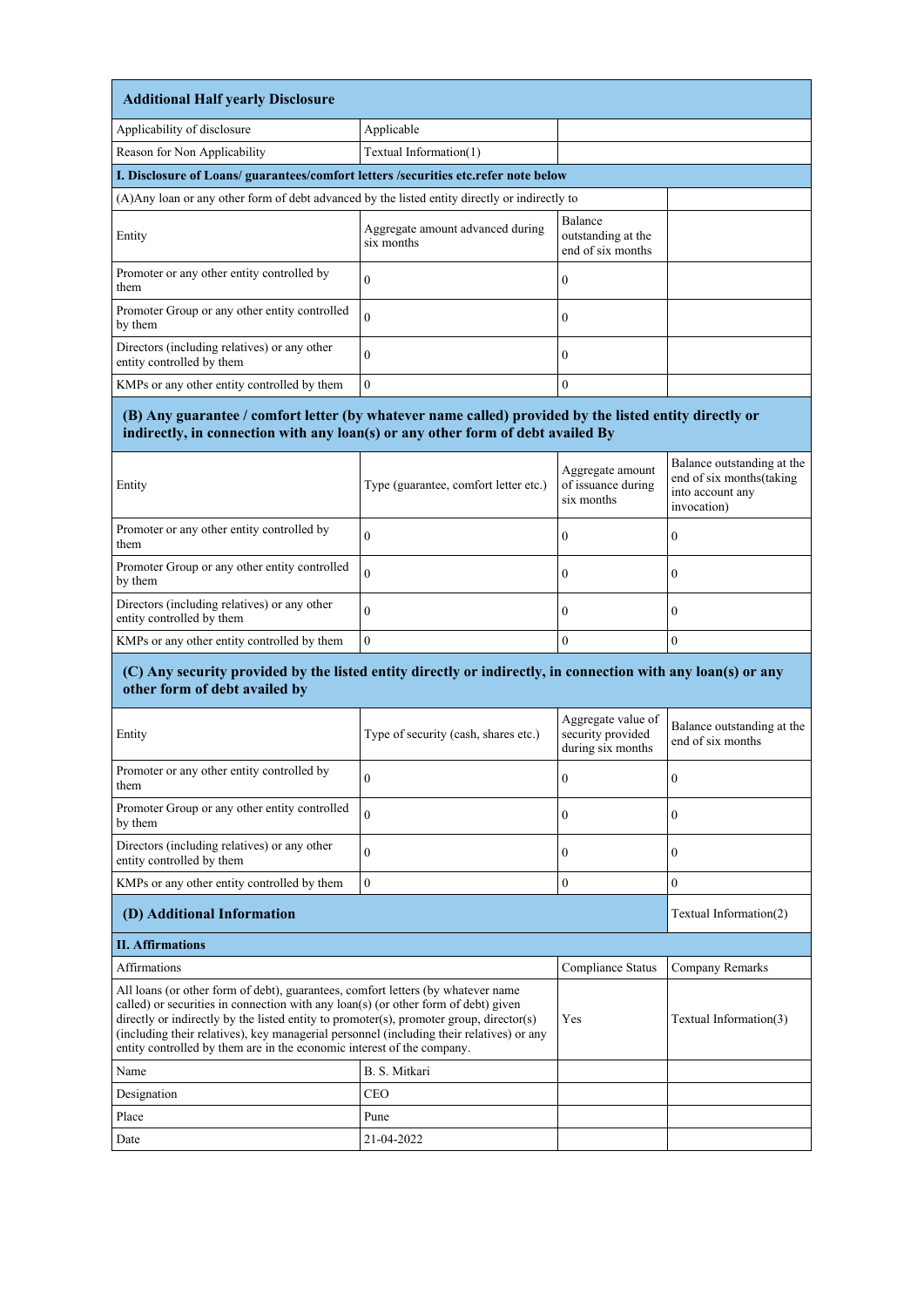| <b>Additional Half yearly Disclosure</b>                                                       |                                                |                                                    |  |
|------------------------------------------------------------------------------------------------|------------------------------------------------|----------------------------------------------------|--|
| Applicability of disclosure                                                                    | Applicable                                     |                                                    |  |
| Reason for Non Applicability                                                                   | Textual Information(1)                         |                                                    |  |
| I. Disclosure of Loans/ guarantees/comfort letters /securities etc.refer note below            |                                                |                                                    |  |
| (A) Any loan or any other form of debt advanced by the listed entity directly or indirectly to |                                                |                                                    |  |
| Entity                                                                                         | Aggregate amount advanced during<br>six months | Balance<br>outstanding at the<br>end of six months |  |
| Promoter or any other entity controlled by<br>them                                             | $\theta$                                       | $\theta$                                           |  |
| Promoter Group or any other entity controlled<br>by them                                       | $\theta$                                       | $\boldsymbol{0}$                                   |  |
| Directors (including relatives) or any other<br>entity controlled by them                      |                                                | $\theta$                                           |  |
| KMPs or any other entity controlled by them                                                    | $\Omega$                                       | $\theta$                                           |  |

## **(B) Any guarantee / comfort letter (by whatever name called) provided by the listed entity directly or indirectly, in connection with any loan(s) or any other form of debt availed By**

| Entity                                                                    | Type (guarantee, comfort letter etc.) | Aggregate amount<br>of issuance during<br>six months | Balance outstanding at the<br>end of six months (taking<br>into account any<br>invocation) |
|---------------------------------------------------------------------------|---------------------------------------|------------------------------------------------------|--------------------------------------------------------------------------------------------|
| Promoter or any other entity controlled by<br>them                        |                                       | $\boldsymbol{0}$                                     | $\bf{0}$                                                                                   |
| Promoter Group or any other entity controlled<br>by them                  | $\Omega$                              | $\theta$                                             | U                                                                                          |
| Directors (including relatives) or any other<br>entity controlled by them |                                       | 0                                                    | $\theta$                                                                                   |
| KMPs or any other entity controlled by them                               |                                       | $\theta$                                             |                                                                                            |

## **(C) Any security provided by the listed entity directly or indirectly, in connection with any loan(s) or any other form of debt availed by**

| Entity                                                                                                                                                                                                                                                                                                                                                                                                                                  | Type of security (cash, shares etc.) | Aggregate value of<br>security provided<br>during six months | Balance outstanding at the<br>end of six months |  |
|-----------------------------------------------------------------------------------------------------------------------------------------------------------------------------------------------------------------------------------------------------------------------------------------------------------------------------------------------------------------------------------------------------------------------------------------|--------------------------------------|--------------------------------------------------------------|-------------------------------------------------|--|
| Promoter or any other entity controlled by<br>them                                                                                                                                                                                                                                                                                                                                                                                      | $\mathbf{0}$                         | $\boldsymbol{0}$                                             | $\mathbf{0}$                                    |  |
| Promoter Group or any other entity controlled<br>by them                                                                                                                                                                                                                                                                                                                                                                                | $\overline{0}$                       | $\boldsymbol{0}$                                             | $\boldsymbol{0}$                                |  |
| Directors (including relatives) or any other<br>entity controlled by them                                                                                                                                                                                                                                                                                                                                                               | $\theta$                             | 0                                                            | $\theta$                                        |  |
| KMPs or any other entity controlled by them                                                                                                                                                                                                                                                                                                                                                                                             | $\mathbf{0}$                         | 0                                                            | $\boldsymbol{0}$                                |  |
| (D) Additional Information                                                                                                                                                                                                                                                                                                                                                                                                              |                                      | Textual Information(2)                                       |                                                 |  |
| <b>II. Affirmations</b>                                                                                                                                                                                                                                                                                                                                                                                                                 |                                      |                                                              |                                                 |  |
| <b>Affirmations</b>                                                                                                                                                                                                                                                                                                                                                                                                                     |                                      | <b>Compliance Status</b>                                     | <b>Company Remarks</b>                          |  |
| All loans (or other form of debt), guarantees, comfort letters (by whatever name<br>called) or securities in connection with any loan(s) (or other form of debt) given<br>directly or indirectly by the listed entity to promoter(s), promoter group, director(s)<br>(including their relatives), key managerial personnel (including their relatives) or any<br>entity controlled by them are in the economic interest of the company. | Yes                                  | Textual Information(3)                                       |                                                 |  |
| Name                                                                                                                                                                                                                                                                                                                                                                                                                                    | B. S. Mitkari                        |                                                              |                                                 |  |
| Designation                                                                                                                                                                                                                                                                                                                                                                                                                             | <b>CEO</b>                           |                                                              |                                                 |  |
| Place                                                                                                                                                                                                                                                                                                                                                                                                                                   | Pune                                 |                                                              |                                                 |  |
| Date                                                                                                                                                                                                                                                                                                                                                                                                                                    | 21-04-2022                           |                                                              |                                                 |  |